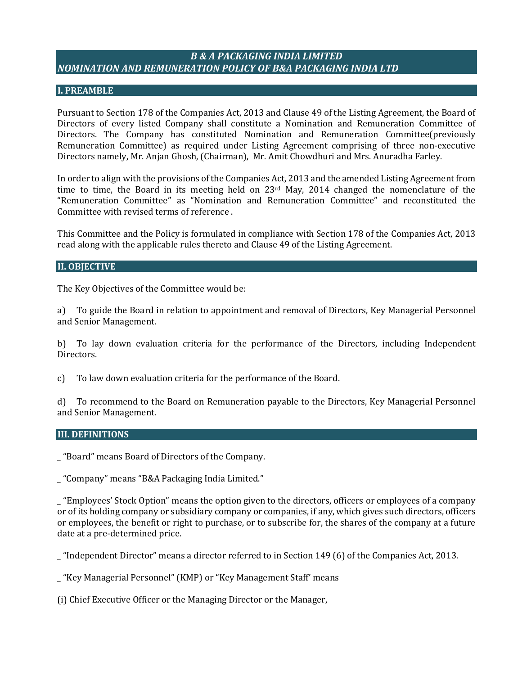# *B & A PACKAGING INDIA LIMITED NOMINATION AND REMUNERATION POLICY OF B&A PACKAGING INDIA LTD*

#### **I. PREAMBLE**

Pursuant to Section 178 of the Companies Act, 2013 and Clause 49 of the Listing Agreement, the Board of Directors of every listed Company shall constitute a Nomination and Remuneration Committee of Directors. The Company has constituted Nomination and Remuneration Committee(previously Remuneration Committee) as required under Listing Agreement comprising of three non-executive Directors namely, Mr. Anjan Ghosh, (Chairman), Mr. Amit Chowdhuri and Mrs. Anuradha Farley.

In order to align with the provisions of the Companies Act, 2013 and the amended Listing Agreement from time to time, the Board in its meeting held on  $23<sup>rd</sup>$  May, 2014 changed the nomenclature of the "Remuneration Committee" as "Nomination and Remuneration Committee" and reconstituted the Committee with revised terms of reference .

This Committee and the Policy is formulated in compliance with Section 178 of the Companies Act, 2013 read along with the applicable rules thereto and Clause 49 of the Listing Agreement.

#### **II. OBJECTIVE**

The Key Objectives of the Committee would be:

a) To guide the Board in relation to appointment and removal of Directors, Key Managerial Personnel and Senior Management.

b) To lay down evaluation criteria for the performance of the Directors, including Independent Directors.

c) To law down evaluation criteria for the performance of the Board.

d) To recommend to the Board on Remuneration payable to the Directors, Key Managerial Personnel and Senior Management.

#### **III. DEFINITIONS**

\_ "Board" means Board of Directors of the Company.

\_ "Company" means "B&A Packaging India Limited."

\_ "Employees' Stock Option" means the option given to the directors, officers or employees of a company or of its holding company or subsidiary company or companies, if any, which gives such directors, officers or employees, the benefit or right to purchase, or to subscribe for, the shares of the company at a future date at a pre-determined price.

\_ "Independent Director" means a director referred to in Section 149 (6) of the Companies Act, 2013.

\_ "Key Managerial Personnel" (KMP) or "Key Management Staff' means

(i) Chief Executive Officer or the Managing Director or the Manager,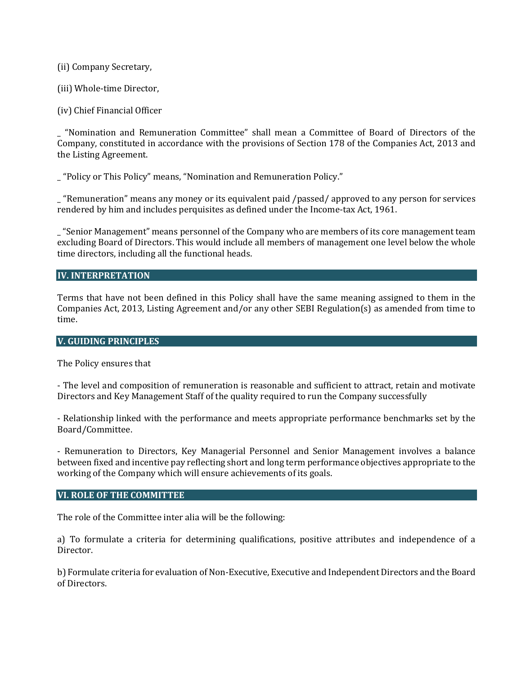(ii) Company Secretary,

(iii) Whole-time Director,

(iv) Chief Financial Officer

\_ "Nomination and Remuneration Committee" shall mean a Committee of Board of Directors of the Company, constituted in accordance with the provisions of Section 178 of the Companies Act, 2013 and the Listing Agreement.

\_ "Policy or This Policy" means, "Nomination and Remuneration Policy."

\_ "Remuneration" means any money or its equivalent paid /passed/ approved to any person for services rendered by him and includes perquisites as defined under the Income-tax Act, 1961.

\_ "Senior Management" means personnel of the Company who are members of its core management team excluding Board of Directors. This would include all members of management one level below the whole time directors, including all the functional heads.

#### **IV. INTERPRETATION**

Terms that have not been defined in this Policy shall have the same meaning assigned to them in the Companies Act, 2013, Listing Agreement and/or any other SEBI Regulation(s) as amended from time to time.

#### **V. GUIDING PRINCIPLES**

The Policy ensures that

- The level and composition of remuneration is reasonable and sufficient to attract, retain and motivate Directors and Key Management Staff of the quality required to run the Company successfully

- Relationship linked with the performance and meets appropriate performance benchmarks set by the Board/Committee.

- Remuneration to Directors, Key Managerial Personnel and Senior Management involves a balance between fixed and incentive pay reflecting short and long term performance objectives appropriate to the working of the Company which will ensure achievements of its goals.

#### **VI. ROLE OF THE COMMITTEE**

The role of the Committee inter alia will be the following:

a) To formulate a criteria for determining qualifications, positive attributes and independence of a Director.

b) Formulate criteria for evaluation of Non-Executive, Executive and Independent Directors and the Board of Directors.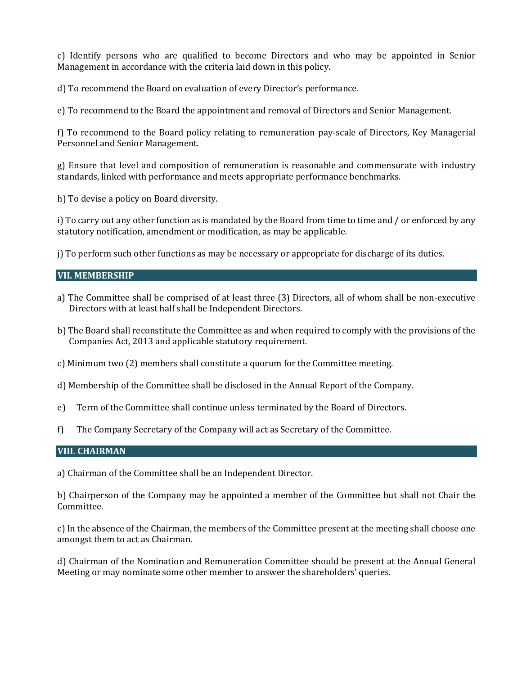c) Identify persons who are qualified to become Directors and who may be appointed in Senior Management in accordance with the criteria laid down in this policy.

d) To recommend the Board on evaluation of every Director's performance.

e) To recommend to the Board the appointment and removal of Directors and Senior Management.

f) To recommend to the Board policy relating to remuneration pay-scale of Directors, Key Managerial Personnel and Senior Management.

g) Ensure that level and composition of remuneration is reasonable and commensurate with industry standards, linked with performance and meets appropriate performance benchmarks.

h) To devise a policy on Board diversity.

i) To carry out any other function as is mandated by the Board from time to time and / or enforced by any statutory notification, amendment or modification, as may be applicable.

j) To perform such other functions as may be necessary or appropriate for discharge of its duties.

#### **VII. MEMBERSHIP**

- a) The Committee shall be comprised of at least three (3) Directors, all of whom shall be non-executive Directors with at least half shall be Independent Directors.
- b) The Board shall reconstitute the Committee as and when required to comply with the provisions of the Companies Act, 2013 and applicable statutory requirement.
- c) Minimum two (2) members shall constitute a quorum for the Committee meeting.
- d) Membership of the Committee shall be disclosed in the Annual Report of the Company.
- e) Term of the Committee shall continue unless terminated by the Board of Directors.
- f) The Company Secretary of the Company will act as Secretary of the Committee.

### **VIII. CHAIRMAN**

a) Chairman of the Committee shall be an Independent Director.

b) Chairperson of the Company may be appointed a member of the Committee but shall not Chair the Committee.

c) In the absence of the Chairman, the members of the Committee present at the meeting shall choose one amongst them to act as Chairman.

d) Chairman of the Nomination and Remuneration Committee should be present at the Annual General Meeting or may nominate some other member to answer the shareholders' queries.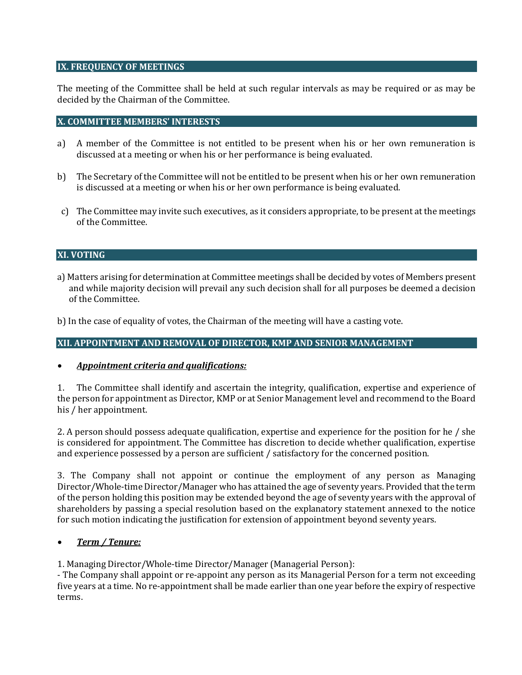### **IX. FREQUENCY OF MEETINGS**

The meeting of the Committee shall be held at such regular intervals as may be required or as may be decided by the Chairman of the Committee.

### **X. COMMITTEE MEMBERS' INTERESTS**

- a) A member of the Committee is not entitled to be present when his or her own remuneration is discussed at a meeting or when his or her performance is being evaluated.
- b) The Secretary of the Committee will not be entitled to be present when his or her own remuneration is discussed at a meeting or when his or her own performance is being evaluated.
- c) The Committee may invite such executives, as it considers appropriate, to be present at the meetings of the Committee.

### **XI. VOTING**

- a) Matters arising for determination at Committee meetings shall be decided by votes of Members present and while majority decision will prevail any such decision shall for all purposes be deemed a decision of the Committee.
- b) In the case of equality of votes, the Chairman of the meeting will have a casting vote.

#### **XII. APPOINTMENT AND REMOVAL OF DIRECTOR, KMP AND SENIOR MANAGEMENT**

#### *Appointment criteria and qualifications:*

1. The Committee shall identify and ascertain the integrity, qualification, expertise and experience of the person for appointment as Director, KMP or at Senior Management level and recommend to the Board his / her appointment.

2. A person should possess adequate qualification, expertise and experience for the position for he / she is considered for appointment. The Committee has discretion to decide whether qualification, expertise and experience possessed by a person are sufficient / satisfactory for the concerned position.

3. The Company shall not appoint or continue the employment of any person as Managing Director/Whole-time Director/Manager who has attained the age of seventy years. Provided that the term of the person holding this position may be extended beyond the age of seventy years with the approval of shareholders by passing a special resolution based on the explanatory statement annexed to the notice for such motion indicating the justification for extension of appointment beyond seventy years.

#### *Term / Tenure:*

1. Managing Director/Whole-time Director/Manager (Managerial Person):

- The Company shall appoint or re-appoint any person as its Managerial Person for a term not exceeding five years at a time. No re-appointment shall be made earlier than one year before the expiry of respective terms.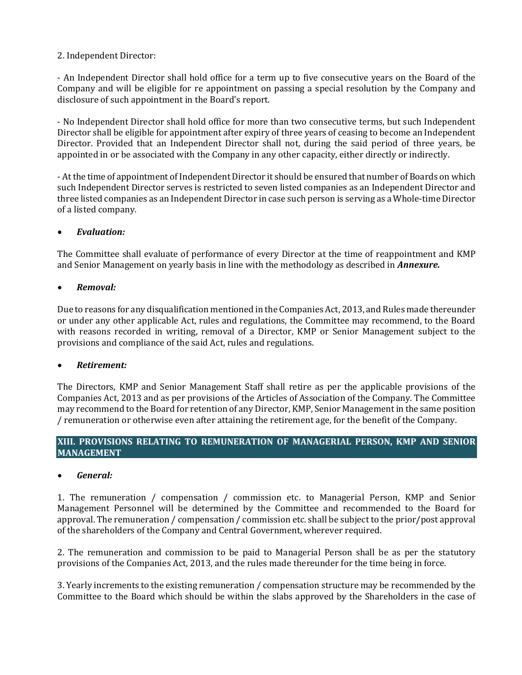## 2. Independent Director:

- An Independent Director shall hold office for a term up to five consecutive years on the Board of the Company and will be eligible for re appointment on passing a special resolution by the Company and disclosure of such appointment in the Board's report.

- No Independent Director shall hold office for more than two consecutive terms, but such Independent Director shall be eligible for appointment after expiry of three years of ceasing to become an Independent Director. Provided that an Independent Director shall not, during the said period of three years, be appointed in or be associated with the Company in any other capacity, either directly or indirectly.

- At the time of appointment of Independent Director it should be ensured that number of Boards on which such Independent Director serves is restricted to seven listed companies as an Independent Director and three listed companies as an Independent Director in case such person is serving as a Whole-time Director of a listed company.

# *Evaluation:*

The Committee shall evaluate of performance of every Director at the time of reappointment and KMP and Senior Management on yearly basis in line with the methodology as described in *Annexure.* 

# *Removal:*

Due to reasons for any disqualification mentioned in the Companies Act, 2013, and Rules made thereunder or under any other applicable Act, rules and regulations, the Committee may recommend, to the Board with reasons recorded in writing, removal of a Director, KMP or Senior Management subject to the provisions and compliance of the said Act, rules and regulations.

## *Retirement:*

The Directors, KMP and Senior Management Staff shall retire as per the applicable provisions of the Companies Act, 2013 and as per provisions of the Articles of Association of the Company. The Committee may recommend to the Board for retention of any Director, KMP, Senior Management in the same position / remuneration or otherwise even after attaining the retirement age, for the benefit of the Company.

## **XIII. PROVISIONS RELATING TO REMUNERATION OF MANAGERIAL PERSON, KMP AND SENIOR MANAGEMENT**

## *General:*

1. The remuneration / compensation / commission etc. to Managerial Person, KMP and Senior Management Personnel will be determined by the Committee and recommended to the Board for approval. The remuneration / compensation / commission etc. shall be subject to the prior/post approval of the shareholders of the Company and Central Government, wherever required.

2. The remuneration and commission to be paid to Managerial Person shall be as per the statutory provisions of the Companies Act, 2013, and the rules made thereunder for the time being in force.

3. Yearly increments to the existing remuneration / compensation structure may be recommended by the Committee to the Board which should be within the slabs approved by the Shareholders in the case of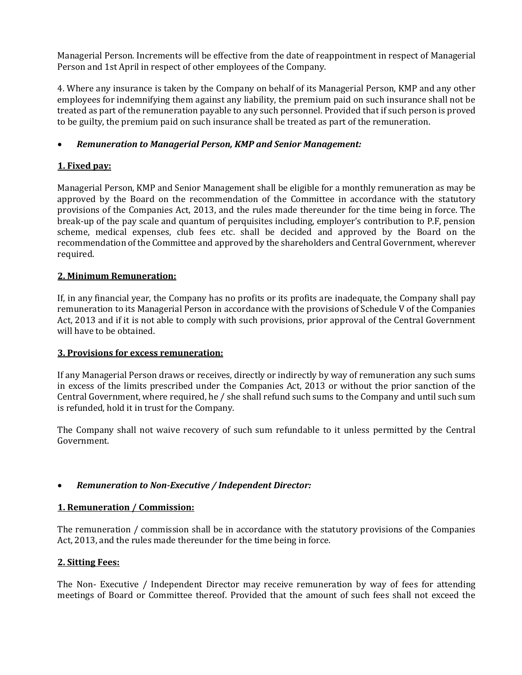Managerial Person. Increments will be effective from the date of reappointment in respect of Managerial Person and 1st April in respect of other employees of the Company.

4. Where any insurance is taken by the Company on behalf of its Managerial Person, KMP and any other employees for indemnifying them against any liability, the premium paid on such insurance shall not be treated as part of the remuneration payable to any such personnel. Provided that if such person is proved to be guilty, the premium paid on such insurance shall be treated as part of the remuneration.

## *Remuneration to Managerial Person, KMP and Senior Management:*

# **1. Fixed pay:**

Managerial Person, KMP and Senior Management shall be eligible for a monthly remuneration as may be approved by the Board on the recommendation of the Committee in accordance with the statutory provisions of the Companies Act, 2013, and the rules made thereunder for the time being in force. The break-up of the pay scale and quantum of perquisites including, employer's contribution to P.F, pension scheme, medical expenses, club fees etc. shall be decided and approved by the Board on the recommendation of the Committee and approved by the shareholders and Central Government, wherever required.

## **2. Minimum Remuneration:**

If, in any financial year, the Company has no profits or its profits are inadequate, the Company shall pay remuneration to its Managerial Person in accordance with the provisions of Schedule V of the Companies Act, 2013 and if it is not able to comply with such provisions, prior approval of the Central Government will have to be obtained.

## **3. Provisions for excess remuneration:**

If any Managerial Person draws or receives, directly or indirectly by way of remuneration any such sums in excess of the limits prescribed under the Companies Act, 2013 or without the prior sanction of the Central Government, where required, he / she shall refund such sums to the Company and until such sum is refunded, hold it in trust for the Company.

The Company shall not waive recovery of such sum refundable to it unless permitted by the Central Government.

## *Remuneration to Non-Executive / Independent Director:*

## **1. Remuneration / Commission:**

The remuneration / commission shall be in accordance with the statutory provisions of the Companies Act, 2013, and the rules made thereunder for the time being in force.

## **2. Sitting Fees:**

The Non- Executive / Independent Director may receive remuneration by way of fees for attending meetings of Board or Committee thereof. Provided that the amount of such fees shall not exceed the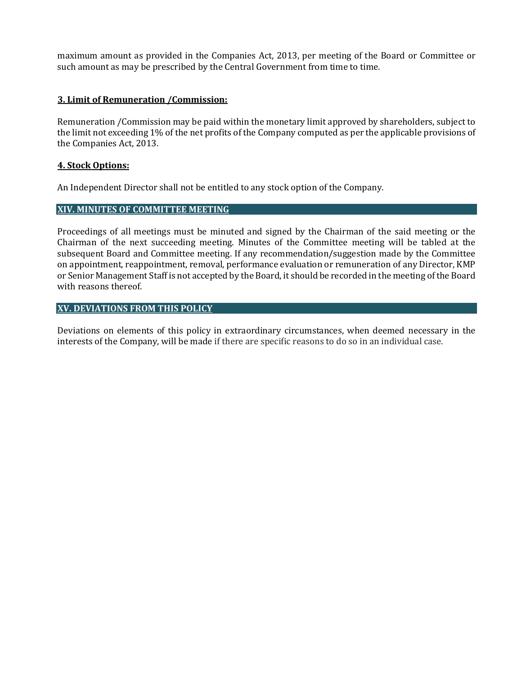maximum amount as provided in the Companies Act, 2013, per meeting of the Board or Committee or such amount as may be prescribed by the Central Government from time to time.

### **3. Limit of Remuneration /Commission:**

Remuneration /Commission may be paid within the monetary limit approved by shareholders, subject to the limit not exceeding 1% of the net profits of the Company computed as per the applicable provisions of the Companies Act, 2013.

### **4. Stock Options:**

An Independent Director shall not be entitled to any stock option of the Company.

### **XIV. MINUTES OF COMMITTEE MEETING**

Proceedings of all meetings must be minuted and signed by the Chairman of the said meeting or the Chairman of the next succeeding meeting. Minutes of the Committee meeting will be tabled at the subsequent Board and Committee meeting. If any recommendation/suggestion made by the Committee on appointment, reappointment, removal, performance evaluation or remuneration of any Director, KMP or Senior Management Staff is not accepted by the Board, it should be recorded in the meeting of the Board with reasons thereof.

### **XV. DEVIATIONS FROM THIS POLICY**

Deviations on elements of this policy in extraordinary circumstances, when deemed necessary in the interests of the Company, will be made if there are specific reasons to do so in an individual case.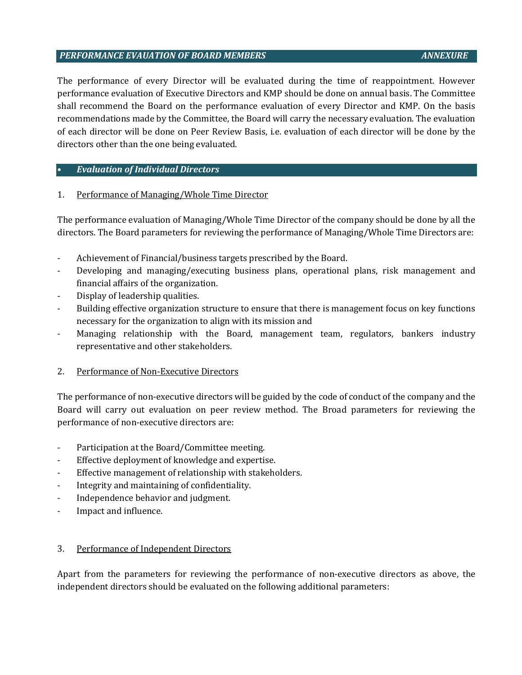#### *PERFORMANCE EVAUATION OF BOARD MEMBERS ANNEXURE*

The performance of every Director will be evaluated during the time of reappointment. However performance evaluation of Executive Directors and KMP should be done on annual basis. The Committee shall recommend the Board on the performance evaluation of every Director and KMP. On the basis recommendations made by the Committee, the Board will carry the necessary evaluation. The evaluation of each director will be done on Peer Review Basis, i.e. evaluation of each director will be done by the directors other than the one being evaluated.

### • *Evaluation of Individual Directors*

### 1. Performance of Managing/Whole Time Director

The performance evaluation of Managing/Whole Time Director of the company should be done by all the directors. The Board parameters for reviewing the performance of Managing/Whole Time Directors are:

- Achievement of Financial/business targets prescribed by the Board.
- Developing and managing/executing business plans, operational plans, risk management and financial affairs of the organization.
- Display of leadership qualities.
- Building effective organization structure to ensure that there is management focus on key functions necessary for the organization to align with its mission and
- Managing relationship with the Board, management team, regulators, bankers industry representative and other stakeholders.

#### 2. Performance of Non-Executive Directors

The performance of non-executive directors will be guided by the code of conduct of the company and the Board will carry out evaluation on peer review method. The Broad parameters for reviewing the performance of non-executive directors are:

- Participation at the Board/Committee meeting.
- Effective deployment of knowledge and expertise.
- Effective management of relationship with stakeholders.
- Integrity and maintaining of confidentiality.
- Independence behavior and judgment.
- Impact and influence.

## 3. Performance of Independent Directors

Apart from the parameters for reviewing the performance of non-executive directors as above, the independent directors should be evaluated on the following additional parameters: